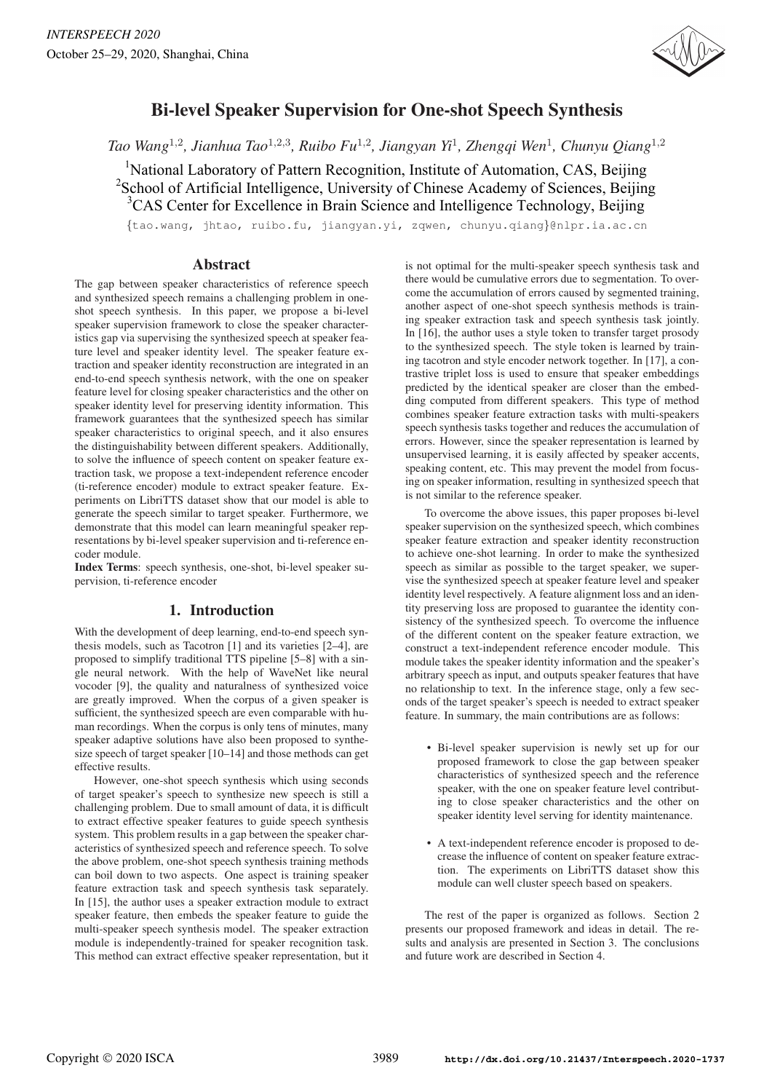

# Bi-level Speaker Supervision for One-shot Speech Synthesis

*Tao Wang*<sup>1</sup>,<sup>2</sup>*, Jianhua Tao*<sup>1</sup>,2,<sup>3</sup>*, Ruibo Fu*<sup>1</sup>,<sup>2</sup>*, Jiangyan Yi*<sup>1</sup>*, Zhengqi Wen*<sup>1</sup>*, Chunyu Qiang*<sup>1</sup>,<sup>2</sup>

<sup>1</sup>National Laboratory of Pattern Recognition, Institute of Automation, CAS, Beijing <sup>2</sup>School of Artificial Intelligence, University of Chinese Academy of Sciences, Beijing <sup>3</sup>CAS Center for Excellence in Brain Science and Intelligence Technology, Beijing

{tao.wang, jhtao, ruibo.fu, jiangyan.yi, zqwen, chunyu.qiang}@nlpr.ia.ac.cn

# Abstract

The gap between speaker characteristics of reference speech and synthesized speech remains a challenging problem in oneshot speech synthesis. In this paper, we propose a bi-level speaker supervision framework to close the speaker characteristics gap via supervising the synthesized speech at speaker feature level and speaker identity level. The speaker feature extraction and speaker identity reconstruction are integrated in an end-to-end speech synthesis network, with the one on speaker feature level for closing speaker characteristics and the other on speaker identity level for preserving identity information. This framework guarantees that the synthesized speech has similar speaker characteristics to original speech, and it also ensures the distinguishability between different speakers. Additionally, to solve the influence of speech content on speaker feature extraction task, we propose a text-independent reference encoder (ti-reference encoder) module to extract speaker feature. Experiments on LibriTTS dataset show that our model is able to generate the speech similar to target speaker. Furthermore, we demonstrate that this model can learn meaningful speaker representations by bi-level speaker supervision and ti-reference encoder module.

Index Terms: speech synthesis, one-shot, bi-level speaker supervision, ti-reference encoder

# 1. Introduction

With the development of deep learning, end-to-end speech synthesis models, such as Tacotron [1] and its varieties [2–4], are proposed to simplify traditional TTS pipeline [5–8] with a single neural network. With the help of WaveNet like neural vocoder [9], the quality and naturalness of synthesized voice are greatly improved. When the corpus of a given speaker is sufficient, the synthesized speech are even comparable with human recordings. When the corpus is only tens of minutes, many speaker adaptive solutions have also been proposed to synthesize speech of target speaker [10–14] and those methods can get effective results.

However, one-shot speech synthesis which using seconds of target speaker's speech to synthesize new speech is still a challenging problem. Due to small amount of data, it is difficult to extract effective speaker features to guide speech synthesis system. This problem results in a gap between the speaker characteristics of synthesized speech and reference speech. To solve the above problem, one-shot speech synthesis training methods can boil down to two aspects. One aspect is training speaker feature extraction task and speech synthesis task separately. In [15], the author uses a speaker extraction module to extract speaker feature, then embeds the speaker feature to guide the multi-speaker speech synthesis model. The speaker extraction module is independently-trained for speaker recognition task. This method can extract effective speaker representation, but it is not optimal for the multi-speaker speech synthesis task and there would be cumulative errors due to segmentation. To overcome the accumulation of errors caused by segmented training, another aspect of one-shot speech synthesis methods is training speaker extraction task and speech synthesis task jointly. In [16], the author uses a style token to transfer target prosody to the synthesized speech. The style token is learned by training tacotron and style encoder network together. In [17], a contrastive triplet loss is used to ensure that speaker embeddings predicted by the identical speaker are closer than the embedding computed from different speakers. This type of method combines speaker feature extraction tasks with multi-speakers speech synthesis tasks together and reduces the accumulation of errors. However, since the speaker representation is learned by unsupervised learning, it is easily affected by speaker accents, speaking content, etc. This may prevent the model from focusing on speaker information, resulting in synthesized speech that is not similar to the reference speaker.

To overcome the above issues, this paper proposes bi-level speaker supervision on the synthesized speech, which combines speaker feature extraction and speaker identity reconstruction to achieve one-shot learning. In order to make the synthesized speech as similar as possible to the target speaker, we supervise the synthesized speech at speaker feature level and speaker identity level respectively. A feature alignment loss and an identity preserving loss are proposed to guarantee the identity consistency of the synthesized speech. To overcome the influence of the different content on the speaker feature extraction, we construct a text-independent reference encoder module. This module takes the speaker identity information and the speaker's arbitrary speech as input, and outputs speaker features that have no relationship to text. In the inference stage, only a few seconds of the target speaker's speech is needed to extract speaker feature. In summary, the main contributions are as follows:

- Bi-level speaker supervision is newly set up for our proposed framework to close the gap between speaker characteristics of synthesized speech and the reference speaker, with the one on speaker feature level contributing to close speaker characteristics and the other on speaker identity level serving for identity maintenance.
- A text-independent reference encoder is proposed to decrease the influence of content on speaker feature extraction. The experiments on LibriTTS dataset show this module can well cluster speech based on speakers.

The rest of the paper is organized as follows. Section 2 presents our proposed framework and ideas in detail. The results and analysis are presented in Section 3. The conclusions and future work are described in Section 4.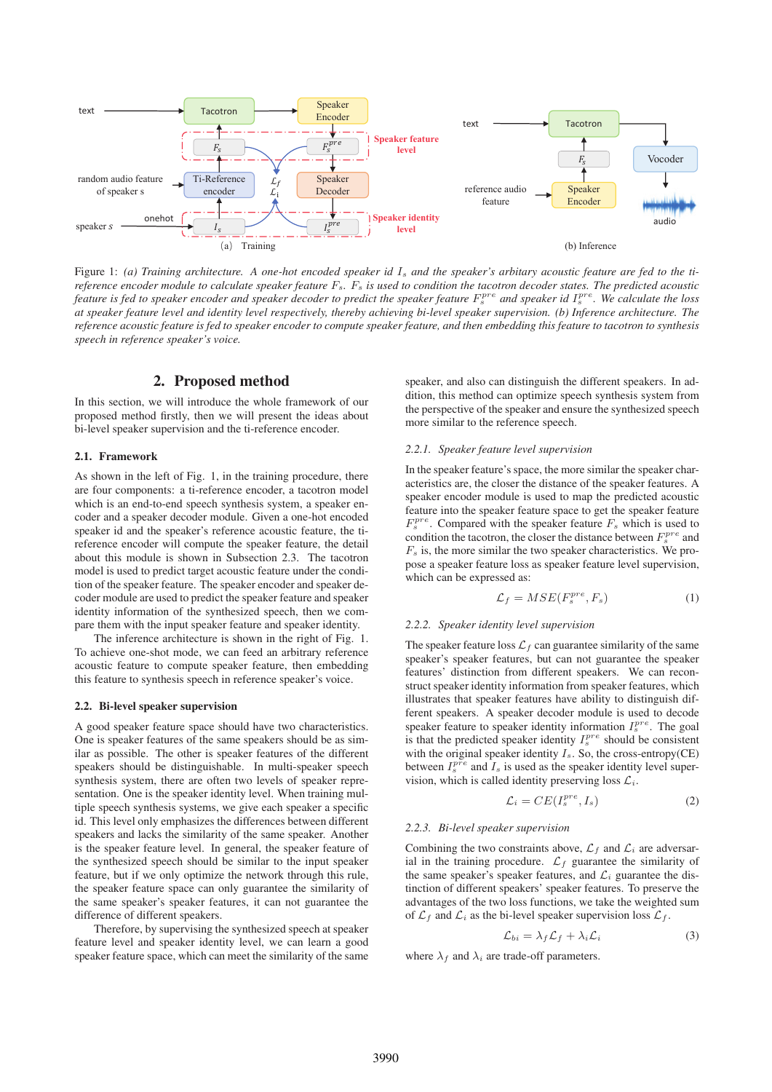

Figure 1: (a) Training architecture. A one-hot encoded speaker id I<sub>s</sub> and the speaker's arbitary acoustic feature are fed to the ti*reference encoder module to calculate speaker feature*  $F_s$ .  $F_s$  *is used to condition the tacotron decoder states. The predicted acoustic* feature is fed to speaker encoder and speaker decoder to predict the speaker feature  $F_s^{pre}$  and speaker id  $I_s^{pre}$ . We calculate the loss *at speaker feature level and identity level respectively, thereby achieving bi-level speaker supervision. (b) Inference architecture. The reference acoustic feature is fed to speaker encoder to compute speaker feature, and then embedding this feature to tacotron to synthesis speech in reference speaker's voice.*

# 2. Proposed method

In this section, we will introduce the whole framework of our proposed method firstly, then we will present the ideas about bi-level speaker supervision and the ti-reference encoder.

#### 2.1. Framework

As shown in the left of Fig. 1, in the training procedure, there are four components: a ti-reference encoder, a tacotron model which is an end-to-end speech synthesis system, a speaker encoder and a speaker decoder module. Given a one-hot encoded speaker id and the speaker's reference acoustic feature, the tireference encoder will compute the speaker feature, the detail about this module is shown in Subsection 2.3. The tacotron model is used to predict target acoustic feature under the condition of the speaker feature. The speaker encoder and speaker decoder module are used to predict the speaker feature and speaker identity information of the synthesized speech, then we compare them with the input speaker feature and speaker identity.

The inference architecture is shown in the right of Fig. 1. To achieve one-shot mode, we can feed an arbitrary reference acoustic feature to compute speaker feature, then embedding this feature to synthesis speech in reference speaker's voice.

#### 2.2. Bi-level speaker supervision

A good speaker feature space should have two characteristics. One is speaker features of the same speakers should be as similar as possible. The other is speaker features of the different speakers should be distinguishable. In multi-speaker speech synthesis system, there are often two levels of speaker representation. One is the speaker identity level. When training multiple speech synthesis systems, we give each speaker a specific id. This level only emphasizes the differences between different speakers and lacks the similarity of the same speaker. Another is the speaker feature level. In general, the speaker feature of the synthesized speech should be similar to the input speaker feature, but if we only optimize the network through this rule, the speaker feature space can only guarantee the similarity of the same speaker's speaker features, it can not guarantee the difference of different speakers.

Therefore, by supervising the synthesized speech at speaker feature level and speaker identity level, we can learn a good speaker feature space, which can meet the similarity of the same speaker, and also can distinguish the different speakers. In addition, this method can optimize speech synthesis system from the perspective of the speaker and ensure the synthesized speech more similar to the reference speech.

#### *2.2.1. Speaker feature level supervision*

In the speaker feature's space, the more similar the speaker characteristics are, the closer the distance of the speaker features. A speaker encoder module is used to map the predicted acoustic feature into the speaker feature space to get the speaker feature  $F_s^{pre}$ . Compared with the speaker feature  $F_s$  which is used to condition the tacotron, the closer the distance between  $F_s^{pre}$  and  $F<sub>s</sub>$  is, the more similar the two speaker characteristics. We propose a speaker feature loss as speaker feature level supervision, which can be expressed as:

$$
\mathcal{L}_f = MSE(F_s^{pre}, F_s) \tag{1}
$$

#### *2.2.2. Speaker identity level supervision*

The speaker feature loss  $\mathcal{L}_f$  can guarantee similarity of the same speaker's speaker features, but can not guarantee the speaker features' distinction from different speakers. We can reconstruct speaker identity information from speaker features, which illustrates that speaker features have ability to distinguish different speakers. A speaker decoder module is used to decode speaker feature to speaker identity information  $I_s^{pre}$ . The goal is that the predicted speaker identity  $I_s^{pre}$  should be consistent with the original speaker identity  $I_s$ . So, the cross-entropy(CE) between  $I_s^{pre}$  and  $I_s$  is used as the speaker identity level supervision, which is called identity preserving loss  $\mathcal{L}_i$ .

$$
\mathcal{L}_i = CE(I_s^{pre}, I_s) \tag{2}
$$

#### *2.2.3. Bi-level speaker supervision*

Combining the two constraints above,  $\mathcal{L}_f$  and  $\mathcal{L}_i$  are adversarial in the training procedure.  $\mathcal{L}_f$  guarantee the similarity of the same speaker's speaker features, and  $\mathcal{L}_i$  guarantee the distinction of different speakers' speaker features. To preserve the advantages of the two loss functions, we take the weighted sum of  $\mathcal{L}_f$  and  $\mathcal{L}_i$  as the bi-level speaker supervision loss  $\mathcal{L}_f$ .

$$
\mathcal{L}_{bi} = \lambda_f \mathcal{L}_f + \lambda_i \mathcal{L}_i \tag{3}
$$

where  $\lambda_f$  and  $\lambda_i$  are trade-off parameters.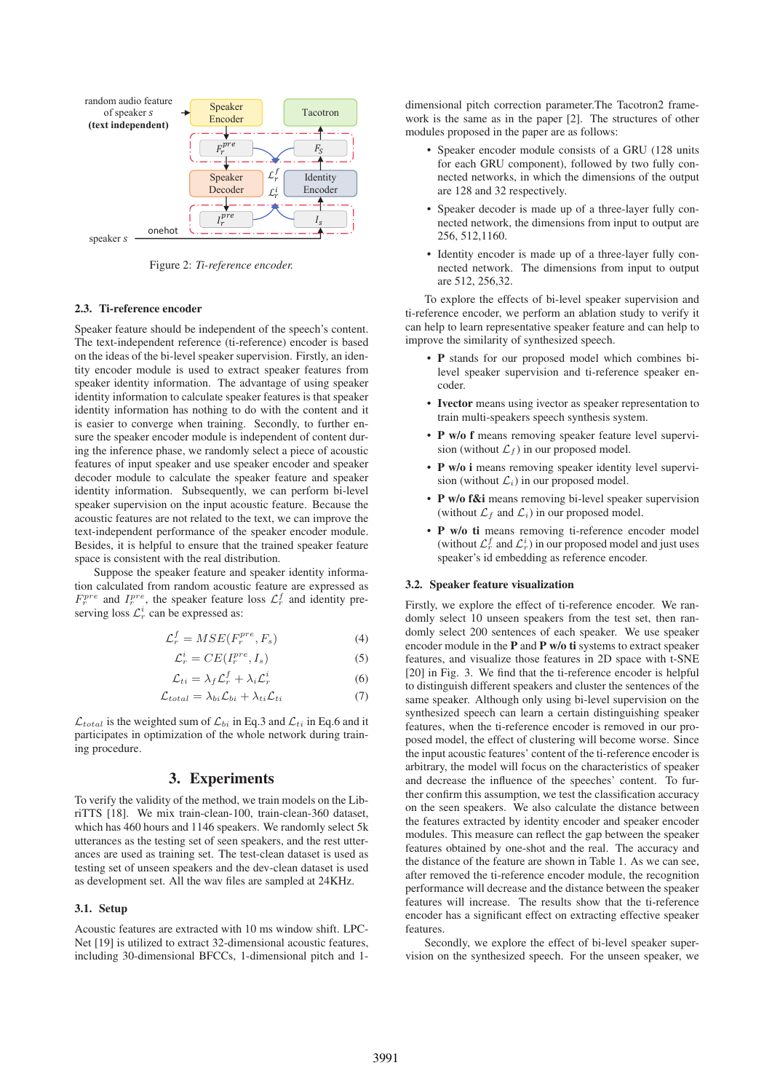

Figure 2: *Ti-reference encoder.*

#### 2.3. Ti-reference encoder

Speaker feature should be independent of the speech's content. The text-independent reference (ti-reference) encoder is based on the ideas of the bi-level speaker supervision. Firstly, an identity encoder module is used to extract speaker features from speaker identity information. The advantage of using speaker identity information to calculate speaker features is that speaker identity information has nothing to do with the content and it is easier to converge when training. Secondly, to further ensure the speaker encoder module is independent of content during the inference phase, we randomly select a piece of acoustic features of input speaker and use speaker encoder and speaker decoder module to calculate the speaker feature and speaker identity information. Subsequently, we can perform bi-level speaker supervision on the input acoustic feature. Because the acoustic features are not related to the text, we can improve the text-independent performance of the speaker encoder module. Besides, it is helpful to ensure that the trained speaker feature space is consistent with the real distribution.

Suppose the speaker feature and speaker identity information calculated from random acoustic feature are expressed as  $F_r^{pre}$  and  $I_r^{pre}$ , the speaker feature loss  $\mathcal{L}_r^f$  and identity preserving loss  $\mathcal{L}_r^i$  can be expressed as:

$$
\mathcal{L}_r^f = MSE(F_r^{pre}, F_s) \tag{4}
$$

$$
\mathcal{L}_r^i = CE(I_r^{pre}, I_s) \tag{5}
$$

$$
\mathcal{L}_{ti} = \lambda_f \mathcal{L}_r^f + \lambda_i \mathcal{L}_r^i \tag{6}
$$

$$
\mathcal{L}_{total} = \lambda_{bi} \mathcal{L}_{bi} + \lambda_{ti} \mathcal{L}_{ti}
$$
 (7)

 $\mathcal{L}_{total}$  is the weighted sum of  $\mathcal{L}_{bi}$  in Eq.3 and  $\mathcal{L}_{ti}$  in Eq.6 and it participates in optimization of the whole network during training procedure.

# 3. Experiments

To verify the validity of the method, we train models on the LibriTTS [18]. We mix train-clean-100, train-clean-360 dataset, which has 460 hours and 1146 speakers. We randomly select 5k utterances as the testing set of seen speakers, and the rest utterances are used as training set. The test-clean dataset is used as testing set of unseen speakers and the dev-clean dataset is used as development set. All the wav files are sampled at 24KHz.

#### 3.1. Setup

Acoustic features are extracted with 10 ms window shift. LPC-Net [19] is utilized to extract 32-dimensional acoustic features, including 30-dimensional BFCCs, 1-dimensional pitch and 1dimensional pitch correction parameter.The Tacotron2 framework is the same as in the paper [2]. The structures of other modules proposed in the paper are as follows:

- Speaker encoder module consists of a GRU (128 units for each GRU component), followed by two fully connected networks, in which the dimensions of the output are 128 and 32 respectively.
- Speaker decoder is made up of a three-layer fully connected network, the dimensions from input to output are 256, 512,1160.
- Identity encoder is made up of a three-layer fully connected network. The dimensions from input to output are 512, 256,32.

To explore the effects of bi-level speaker supervision and ti-reference encoder, we perform an ablation study to verify it can help to learn representative speaker feature and can help to improve the similarity of synthesized speech.

- P stands for our proposed model which combines bilevel speaker supervision and ti-reference speaker encoder.
- Ivector means using ivector as speaker representation to train multi-speakers speech synthesis system.
- P w/o f means removing speaker feature level supervision (without  $\mathcal{L}_f$ ) in our proposed model.
- P w/o i means removing speaker identity level supervision (without  $\mathcal{L}_i$ ) in our proposed model.
- P w/o f&i means removing bi-level speaker supervision (without  $\mathcal{L}_f$  and  $\mathcal{L}_i$ ) in our proposed model.
- P w/o ti means removing ti-reference encoder model (without  $\mathcal{L}_r^f$  and  $\mathcal{L}_r^i$ ) in our proposed model and just uses speaker's id embedding as reference encoder.

#### 3.2. Speaker feature visualization

Firstly, we explore the effect of ti-reference encoder. We randomly select 10 unseen speakers from the test set, then randomly select 200 sentences of each speaker. We use speaker encoder module in the P and P w/o ti systems to extract speaker features, and visualize those features in 2D space with t-SNE [20] in Fig. 3. We find that the ti-reference encoder is helpful to distinguish different speakers and cluster the sentences of the same speaker. Although only using bi-level supervision on the synthesized speech can learn a certain distinguishing speaker features, when the ti-reference encoder is removed in our proposed model, the effect of clustering will become worse. Since the input acoustic features' content of the ti-reference encoder is arbitrary, the model will focus on the characteristics of speaker and decrease the influence of the speeches' content. To further confirm this assumption, we test the classification accuracy on the seen speakers. We also calculate the distance between the features extracted by identity encoder and speaker encoder modules. This measure can reflect the gap between the speaker features obtained by one-shot and the real. The accuracy and the distance of the feature are shown in Table 1. As we can see, after removed the ti-reference encoder module, the recognition performance will decrease and the distance between the speaker features will increase. The results show that the ti-reference encoder has a significant effect on extracting effective speaker features.

Secondly, we explore the effect of bi-level speaker supervision on the synthesized speech. For the unseen speaker, we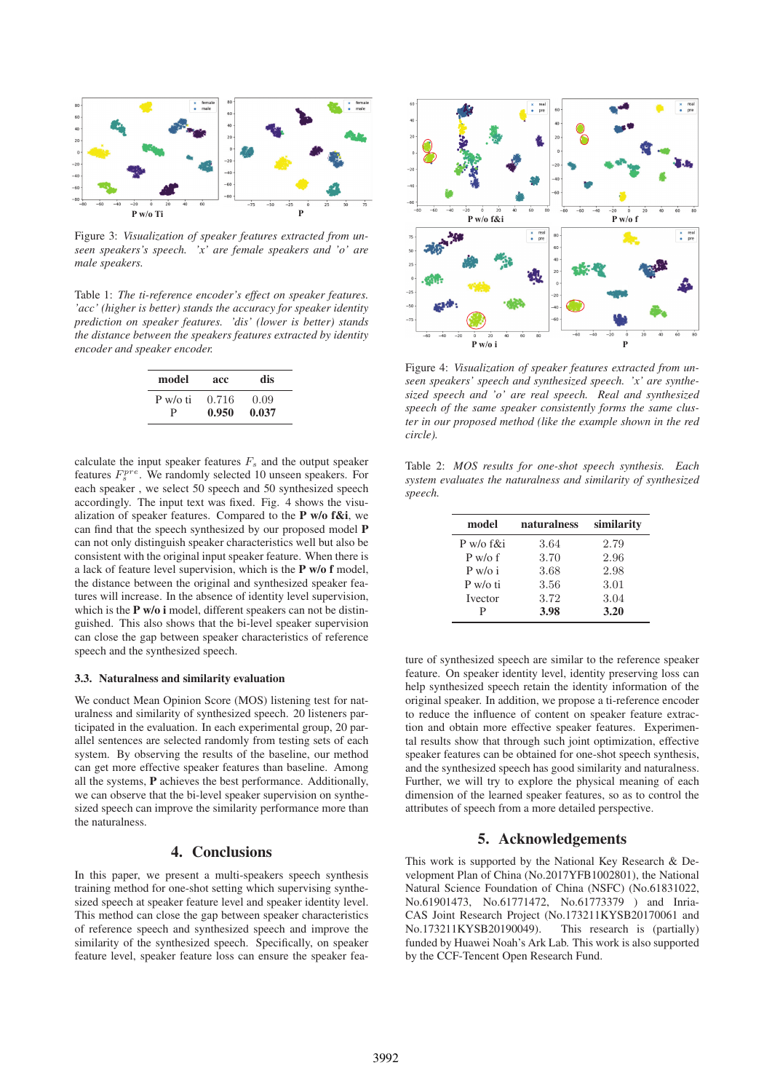

Figure 3: *Visualization of speaker features extracted from unseen speakers's speech. 'x' are female speakers and 'o' are male speakers.*

Table 1: *The ti-reference encoder's effect on speaker features. 'acc' (higher is better) stands the accuracy for speaker identity prediction on speaker features. 'dis' (lower is better) stands the distance between the speakers features extracted by identity encoder and speaker encoder.*

| model    | acc   | dis   |
|----------|-------|-------|
| P w/o ti | 0.716 | 0.09  |
| р        | 0.950 | 0.037 |

calculate the input speaker features  $F_s$  and the output speaker features  $F_s^{pre}$ . We randomly selected 10 unseen speakers. For each speaker , we select 50 speech and 50 synthesized speech accordingly. The input text was fixed. Fig. 4 shows the visualization of speaker features. Compared to the  $P$  w/o f&i, we can find that the speech synthesized by our proposed model P can not only distinguish speaker characteristics well but also be consistent with the original input speaker feature. When there is a lack of feature level supervision, which is the P w/o f model, the distance between the original and synthesized speaker features will increase. In the absence of identity level supervision, which is the **P** w/o **i** model, different speakers can not be distinguished. This also shows that the bi-level speaker supervision can close the gap between speaker characteristics of reference speech and the synthesized speech.

### 3.3. Naturalness and similarity evaluation

We conduct Mean Opinion Score (MOS) listening test for naturalness and similarity of synthesized speech. 20 listeners participated in the evaluation. In each experimental group, 20 parallel sentences are selected randomly from testing sets of each system. By observing the results of the baseline, our method can get more effective speaker features than baseline. Among all the systems, P achieves the best performance. Additionally, we can observe that the bi-level speaker supervision on synthesized speech can improve the similarity performance more than the naturalness.

# 4. Conclusions

In this paper, we present a multi-speakers speech synthesis training method for one-shot setting which supervising synthesized speech at speaker feature level and speaker identity level. This method can close the gap between speaker characteristics of reference speech and synthesized speech and improve the similarity of the synthesized speech. Specifically, on speaker feature level, speaker feature loss can ensure the speaker fea-



Figure 4: *Visualization of speaker features extracted from unseen speakers' speech and synthesized speech. 'x' are synthesized speech and 'o' are real speech. Real and synthesized speech of the same speaker consistently forms the same cluster in our proposed method (like the example shown in the red circle).*

Table 2: *MOS results for one-shot speech synthesis. Each system evaluates the naturalness and similarity of synthesized speech.*

| model          | naturalness | similarity |
|----------------|-------------|------------|
| P w/o f&i      | 3.64        | 2.79       |
| $P$ w/o f      | 3.70        | 2.96       |
| $P w/\sigma i$ | 3.68        | 2.98       |
| P w / o t      | 3.56        | 3.01       |
| <b>Ivector</b> | 3.72        | 3.04       |
| р              | 3.98        | 3.20       |

ture of synthesized speech are similar to the reference speaker feature. On speaker identity level, identity preserving loss can help synthesized speech retain the identity information of the original speaker. In addition, we propose a ti-reference encoder to reduce the influence of content on speaker feature extraction and obtain more effective speaker features. Experimental results show that through such joint optimization, effective speaker features can be obtained for one-shot speech synthesis, and the synthesized speech has good similarity and naturalness. Further, we will try to explore the physical meaning of each dimension of the learned speaker features, so as to control the attributes of speech from a more detailed perspective.

# 5. Acknowledgements

This work is supported by the National Key Research & Development Plan of China (No.2017YFB1002801), the National Natural Science Foundation of China (NSFC) (No.61831022, No.61901473, No.61771472, No.61773379 ) and Inria-CAS Joint Research Project (No.173211KYSB20170061 and No.173211KYSB20190049). This research is (partially) No.173211KYSB20190049). funded by Huawei Noah's Ark Lab. This work is also supported by the CCF-Tencent Open Research Fund.